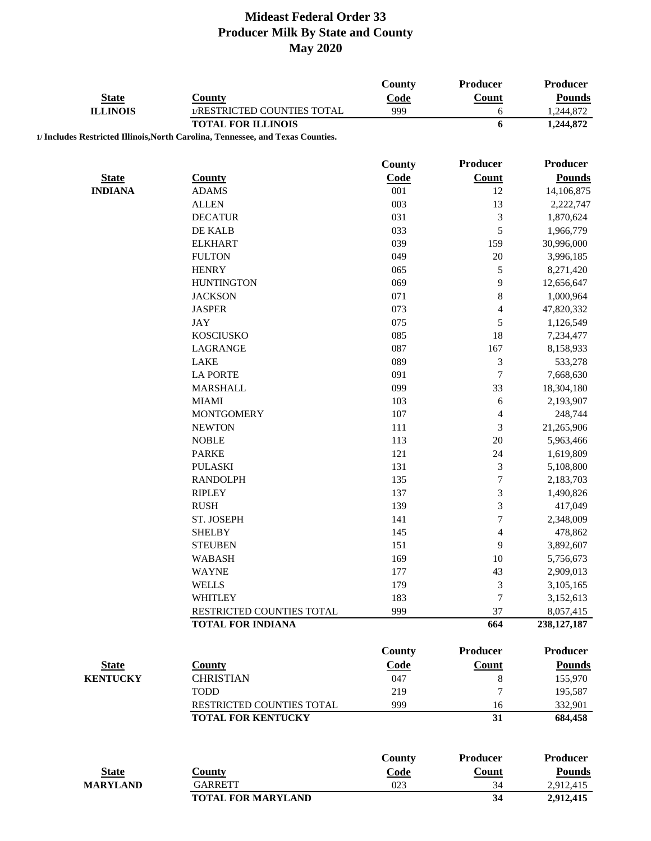| <b>State</b><br>Code<br>Count<br><b>Pounds</b><br><b>County</b><br>999<br><b>ILLINOIS</b><br>1/RESTRICTED COUNTIES TOTAL<br>1,244,872<br>6<br><b>TOTAL FOR ILLINOIS</b><br>6<br>1,244,872<br>1/ Includes Restricted Illinois, North Carolina, Tennessee, and Texas Counties.<br><b>County</b><br>Producer<br>Producer<br><b>State</b><br><b>Count</b><br><b>County</b><br>Code<br><b>Pounds</b><br><b>INDIANA</b><br>001<br>12<br>14,106,875<br><b>ADAMS</b><br>13<br><b>ALLEN</b><br>003<br>2,222,747<br>$\mathfrak{Z}$<br><b>DECATUR</b><br>031<br>1,870,624<br>5<br>DE KALB<br>033<br>1,966,779<br>159<br><b>ELKHART</b><br>039<br>30,996,000<br>20<br><b>FULTON</b><br>049<br>3,996,185<br>$\sqrt{5}$<br><b>HENRY</b><br>065<br>8,271,420<br><b>HUNTINGTON</b><br>9<br>069<br>12,656,647<br>$\,$ $\,$<br>071<br>1,000,964<br><b>JACKSON</b><br><b>JASPER</b><br>073<br>$\overline{4}$<br>47,820,332<br>5<br><b>JAY</b><br>075<br>1,126,549<br>085<br>18<br><b>KOSCIUSKO</b><br>7,234,477<br>087<br>167<br>LAGRANGE<br>8,158,933<br>$\mathfrak{Z}$<br><b>LAKE</b><br>089<br>533,278<br>$\boldsymbol{7}$<br><b>LA PORTE</b><br>091<br>7,668,630<br>33<br><b>MARSHALL</b><br>099<br>18,304,180<br><b>MIAMI</b><br>103<br>6<br>2,193,907<br><b>MONTGOMERY</b><br>107<br>4<br>248,744<br>$\mathfrak{Z}$<br><b>NEWTON</b><br>111<br>21,265,906<br>20<br><b>NOBLE</b><br>113<br>5,963,466<br>24<br><b>PARKE</b><br>121<br>1,619,809<br>$\mathfrak{Z}$<br><b>PULASKI</b><br>131<br>5,108,800<br>$\boldsymbol{7}$<br><b>RANDOLPH</b><br>135<br>2,183,703<br>$\mathfrak{Z}$<br><b>RIPLEY</b><br>137<br>1,490,826<br>$\mathfrak{Z}$<br><b>RUSH</b><br>139<br>417,049<br>$\boldsymbol{7}$<br>ST. JOSEPH<br>141<br>2,348,009<br><b>SHELBY</b><br>145<br>$\overline{\mathcal{A}}$<br>478,862<br>9<br><b>STEUBEN</b><br>151<br>3,892,607<br><b>WABASH</b><br>169<br>10<br>5,756,673<br><b>WAYNE</b><br>177<br>43<br>2,909,013<br>$\mathfrak{Z}$<br><b>WELLS</b><br>179<br>3,105,165<br>$\tau$<br>183<br><b>WHITLEY</b><br>3,152,613<br>RESTRICTED COUNTIES TOTAL<br>999<br>37<br>8,057,415<br><b>TOTAL FOR INDIANA</b><br>664<br>238, 127, 187<br><b>Producer</b><br><b>Producer</b><br>County<br>Count<br><b>Pounds</b><br><b>State</b><br><b>County</b><br>Code<br><b>CHRISTIAN</b><br><b>KENTUCKY</b><br>047<br>$\,8\,$<br>155,970<br>$\boldsymbol{7}$<br><b>TODD</b><br>219<br>195,587<br>999<br>RESTRICTED COUNTIES TOTAL<br>16<br>332,901<br>31<br><b>TOTAL FOR KENTUCKY</b><br>684,458<br><b>Producer</b><br><b>Producer</b><br><b>County</b><br>Code<br><b>Pounds</b><br><b>State</b><br><b>County</b><br><b>Count</b><br><b>MARYLAND</b><br><b>GARRETT</b><br>023<br>2,912,415<br>34<br><b>TOTAL FOR MARYLAND</b><br>34<br>2,912,415 |  | <b>County</b> | Producer | Producer |
|------------------------------------------------------------------------------------------------------------------------------------------------------------------------------------------------------------------------------------------------------------------------------------------------------------------------------------------------------------------------------------------------------------------------------------------------------------------------------------------------------------------------------------------------------------------------------------------------------------------------------------------------------------------------------------------------------------------------------------------------------------------------------------------------------------------------------------------------------------------------------------------------------------------------------------------------------------------------------------------------------------------------------------------------------------------------------------------------------------------------------------------------------------------------------------------------------------------------------------------------------------------------------------------------------------------------------------------------------------------------------------------------------------------------------------------------------------------------------------------------------------------------------------------------------------------------------------------------------------------------------------------------------------------------------------------------------------------------------------------------------------------------------------------------------------------------------------------------------------------------------------------------------------------------------------------------------------------------------------------------------------------------------------------------------------------------------------------------------------------------------------------------------------------------------------------------------------------------------------------------------------------------------------------------------------------------------------------------------------------------------------------------------------------------------------------------------------------------------------------------------------------------------------------------------------------------------------------------------------------------------------------------------------------------------------------------------------------------------------|--|---------------|----------|----------|
|                                                                                                                                                                                                                                                                                                                                                                                                                                                                                                                                                                                                                                                                                                                                                                                                                                                                                                                                                                                                                                                                                                                                                                                                                                                                                                                                                                                                                                                                                                                                                                                                                                                                                                                                                                                                                                                                                                                                                                                                                                                                                                                                                                                                                                                                                                                                                                                                                                                                                                                                                                                                                                                                                                                                    |  |               |          |          |
|                                                                                                                                                                                                                                                                                                                                                                                                                                                                                                                                                                                                                                                                                                                                                                                                                                                                                                                                                                                                                                                                                                                                                                                                                                                                                                                                                                                                                                                                                                                                                                                                                                                                                                                                                                                                                                                                                                                                                                                                                                                                                                                                                                                                                                                                                                                                                                                                                                                                                                                                                                                                                                                                                                                                    |  |               |          |          |
|                                                                                                                                                                                                                                                                                                                                                                                                                                                                                                                                                                                                                                                                                                                                                                                                                                                                                                                                                                                                                                                                                                                                                                                                                                                                                                                                                                                                                                                                                                                                                                                                                                                                                                                                                                                                                                                                                                                                                                                                                                                                                                                                                                                                                                                                                                                                                                                                                                                                                                                                                                                                                                                                                                                                    |  |               |          |          |
|                                                                                                                                                                                                                                                                                                                                                                                                                                                                                                                                                                                                                                                                                                                                                                                                                                                                                                                                                                                                                                                                                                                                                                                                                                                                                                                                                                                                                                                                                                                                                                                                                                                                                                                                                                                                                                                                                                                                                                                                                                                                                                                                                                                                                                                                                                                                                                                                                                                                                                                                                                                                                                                                                                                                    |  |               |          |          |
|                                                                                                                                                                                                                                                                                                                                                                                                                                                                                                                                                                                                                                                                                                                                                                                                                                                                                                                                                                                                                                                                                                                                                                                                                                                                                                                                                                                                                                                                                                                                                                                                                                                                                                                                                                                                                                                                                                                                                                                                                                                                                                                                                                                                                                                                                                                                                                                                                                                                                                                                                                                                                                                                                                                                    |  |               |          |          |
|                                                                                                                                                                                                                                                                                                                                                                                                                                                                                                                                                                                                                                                                                                                                                                                                                                                                                                                                                                                                                                                                                                                                                                                                                                                                                                                                                                                                                                                                                                                                                                                                                                                                                                                                                                                                                                                                                                                                                                                                                                                                                                                                                                                                                                                                                                                                                                                                                                                                                                                                                                                                                                                                                                                                    |  |               |          |          |
|                                                                                                                                                                                                                                                                                                                                                                                                                                                                                                                                                                                                                                                                                                                                                                                                                                                                                                                                                                                                                                                                                                                                                                                                                                                                                                                                                                                                                                                                                                                                                                                                                                                                                                                                                                                                                                                                                                                                                                                                                                                                                                                                                                                                                                                                                                                                                                                                                                                                                                                                                                                                                                                                                                                                    |  |               |          |          |
|                                                                                                                                                                                                                                                                                                                                                                                                                                                                                                                                                                                                                                                                                                                                                                                                                                                                                                                                                                                                                                                                                                                                                                                                                                                                                                                                                                                                                                                                                                                                                                                                                                                                                                                                                                                                                                                                                                                                                                                                                                                                                                                                                                                                                                                                                                                                                                                                                                                                                                                                                                                                                                                                                                                                    |  |               |          |          |
|                                                                                                                                                                                                                                                                                                                                                                                                                                                                                                                                                                                                                                                                                                                                                                                                                                                                                                                                                                                                                                                                                                                                                                                                                                                                                                                                                                                                                                                                                                                                                                                                                                                                                                                                                                                                                                                                                                                                                                                                                                                                                                                                                                                                                                                                                                                                                                                                                                                                                                                                                                                                                                                                                                                                    |  |               |          |          |
|                                                                                                                                                                                                                                                                                                                                                                                                                                                                                                                                                                                                                                                                                                                                                                                                                                                                                                                                                                                                                                                                                                                                                                                                                                                                                                                                                                                                                                                                                                                                                                                                                                                                                                                                                                                                                                                                                                                                                                                                                                                                                                                                                                                                                                                                                                                                                                                                                                                                                                                                                                                                                                                                                                                                    |  |               |          |          |
|                                                                                                                                                                                                                                                                                                                                                                                                                                                                                                                                                                                                                                                                                                                                                                                                                                                                                                                                                                                                                                                                                                                                                                                                                                                                                                                                                                                                                                                                                                                                                                                                                                                                                                                                                                                                                                                                                                                                                                                                                                                                                                                                                                                                                                                                                                                                                                                                                                                                                                                                                                                                                                                                                                                                    |  |               |          |          |
|                                                                                                                                                                                                                                                                                                                                                                                                                                                                                                                                                                                                                                                                                                                                                                                                                                                                                                                                                                                                                                                                                                                                                                                                                                                                                                                                                                                                                                                                                                                                                                                                                                                                                                                                                                                                                                                                                                                                                                                                                                                                                                                                                                                                                                                                                                                                                                                                                                                                                                                                                                                                                                                                                                                                    |  |               |          |          |
|                                                                                                                                                                                                                                                                                                                                                                                                                                                                                                                                                                                                                                                                                                                                                                                                                                                                                                                                                                                                                                                                                                                                                                                                                                                                                                                                                                                                                                                                                                                                                                                                                                                                                                                                                                                                                                                                                                                                                                                                                                                                                                                                                                                                                                                                                                                                                                                                                                                                                                                                                                                                                                                                                                                                    |  |               |          |          |
|                                                                                                                                                                                                                                                                                                                                                                                                                                                                                                                                                                                                                                                                                                                                                                                                                                                                                                                                                                                                                                                                                                                                                                                                                                                                                                                                                                                                                                                                                                                                                                                                                                                                                                                                                                                                                                                                                                                                                                                                                                                                                                                                                                                                                                                                                                                                                                                                                                                                                                                                                                                                                                                                                                                                    |  |               |          |          |
|                                                                                                                                                                                                                                                                                                                                                                                                                                                                                                                                                                                                                                                                                                                                                                                                                                                                                                                                                                                                                                                                                                                                                                                                                                                                                                                                                                                                                                                                                                                                                                                                                                                                                                                                                                                                                                                                                                                                                                                                                                                                                                                                                                                                                                                                                                                                                                                                                                                                                                                                                                                                                                                                                                                                    |  |               |          |          |
|                                                                                                                                                                                                                                                                                                                                                                                                                                                                                                                                                                                                                                                                                                                                                                                                                                                                                                                                                                                                                                                                                                                                                                                                                                                                                                                                                                                                                                                                                                                                                                                                                                                                                                                                                                                                                                                                                                                                                                                                                                                                                                                                                                                                                                                                                                                                                                                                                                                                                                                                                                                                                                                                                                                                    |  |               |          |          |
|                                                                                                                                                                                                                                                                                                                                                                                                                                                                                                                                                                                                                                                                                                                                                                                                                                                                                                                                                                                                                                                                                                                                                                                                                                                                                                                                                                                                                                                                                                                                                                                                                                                                                                                                                                                                                                                                                                                                                                                                                                                                                                                                                                                                                                                                                                                                                                                                                                                                                                                                                                                                                                                                                                                                    |  |               |          |          |
|                                                                                                                                                                                                                                                                                                                                                                                                                                                                                                                                                                                                                                                                                                                                                                                                                                                                                                                                                                                                                                                                                                                                                                                                                                                                                                                                                                                                                                                                                                                                                                                                                                                                                                                                                                                                                                                                                                                                                                                                                                                                                                                                                                                                                                                                                                                                                                                                                                                                                                                                                                                                                                                                                                                                    |  |               |          |          |
|                                                                                                                                                                                                                                                                                                                                                                                                                                                                                                                                                                                                                                                                                                                                                                                                                                                                                                                                                                                                                                                                                                                                                                                                                                                                                                                                                                                                                                                                                                                                                                                                                                                                                                                                                                                                                                                                                                                                                                                                                                                                                                                                                                                                                                                                                                                                                                                                                                                                                                                                                                                                                                                                                                                                    |  |               |          |          |
|                                                                                                                                                                                                                                                                                                                                                                                                                                                                                                                                                                                                                                                                                                                                                                                                                                                                                                                                                                                                                                                                                                                                                                                                                                                                                                                                                                                                                                                                                                                                                                                                                                                                                                                                                                                                                                                                                                                                                                                                                                                                                                                                                                                                                                                                                                                                                                                                                                                                                                                                                                                                                                                                                                                                    |  |               |          |          |
|                                                                                                                                                                                                                                                                                                                                                                                                                                                                                                                                                                                                                                                                                                                                                                                                                                                                                                                                                                                                                                                                                                                                                                                                                                                                                                                                                                                                                                                                                                                                                                                                                                                                                                                                                                                                                                                                                                                                                                                                                                                                                                                                                                                                                                                                                                                                                                                                                                                                                                                                                                                                                                                                                                                                    |  |               |          |          |
|                                                                                                                                                                                                                                                                                                                                                                                                                                                                                                                                                                                                                                                                                                                                                                                                                                                                                                                                                                                                                                                                                                                                                                                                                                                                                                                                                                                                                                                                                                                                                                                                                                                                                                                                                                                                                                                                                                                                                                                                                                                                                                                                                                                                                                                                                                                                                                                                                                                                                                                                                                                                                                                                                                                                    |  |               |          |          |
|                                                                                                                                                                                                                                                                                                                                                                                                                                                                                                                                                                                                                                                                                                                                                                                                                                                                                                                                                                                                                                                                                                                                                                                                                                                                                                                                                                                                                                                                                                                                                                                                                                                                                                                                                                                                                                                                                                                                                                                                                                                                                                                                                                                                                                                                                                                                                                                                                                                                                                                                                                                                                                                                                                                                    |  |               |          |          |
|                                                                                                                                                                                                                                                                                                                                                                                                                                                                                                                                                                                                                                                                                                                                                                                                                                                                                                                                                                                                                                                                                                                                                                                                                                                                                                                                                                                                                                                                                                                                                                                                                                                                                                                                                                                                                                                                                                                                                                                                                                                                                                                                                                                                                                                                                                                                                                                                                                                                                                                                                                                                                                                                                                                                    |  |               |          |          |
|                                                                                                                                                                                                                                                                                                                                                                                                                                                                                                                                                                                                                                                                                                                                                                                                                                                                                                                                                                                                                                                                                                                                                                                                                                                                                                                                                                                                                                                                                                                                                                                                                                                                                                                                                                                                                                                                                                                                                                                                                                                                                                                                                                                                                                                                                                                                                                                                                                                                                                                                                                                                                                                                                                                                    |  |               |          |          |
|                                                                                                                                                                                                                                                                                                                                                                                                                                                                                                                                                                                                                                                                                                                                                                                                                                                                                                                                                                                                                                                                                                                                                                                                                                                                                                                                                                                                                                                                                                                                                                                                                                                                                                                                                                                                                                                                                                                                                                                                                                                                                                                                                                                                                                                                                                                                                                                                                                                                                                                                                                                                                                                                                                                                    |  |               |          |          |
|                                                                                                                                                                                                                                                                                                                                                                                                                                                                                                                                                                                                                                                                                                                                                                                                                                                                                                                                                                                                                                                                                                                                                                                                                                                                                                                                                                                                                                                                                                                                                                                                                                                                                                                                                                                                                                                                                                                                                                                                                                                                                                                                                                                                                                                                                                                                                                                                                                                                                                                                                                                                                                                                                                                                    |  |               |          |          |
|                                                                                                                                                                                                                                                                                                                                                                                                                                                                                                                                                                                                                                                                                                                                                                                                                                                                                                                                                                                                                                                                                                                                                                                                                                                                                                                                                                                                                                                                                                                                                                                                                                                                                                                                                                                                                                                                                                                                                                                                                                                                                                                                                                                                                                                                                                                                                                                                                                                                                                                                                                                                                                                                                                                                    |  |               |          |          |
|                                                                                                                                                                                                                                                                                                                                                                                                                                                                                                                                                                                                                                                                                                                                                                                                                                                                                                                                                                                                                                                                                                                                                                                                                                                                                                                                                                                                                                                                                                                                                                                                                                                                                                                                                                                                                                                                                                                                                                                                                                                                                                                                                                                                                                                                                                                                                                                                                                                                                                                                                                                                                                                                                                                                    |  |               |          |          |
|                                                                                                                                                                                                                                                                                                                                                                                                                                                                                                                                                                                                                                                                                                                                                                                                                                                                                                                                                                                                                                                                                                                                                                                                                                                                                                                                                                                                                                                                                                                                                                                                                                                                                                                                                                                                                                                                                                                                                                                                                                                                                                                                                                                                                                                                                                                                                                                                                                                                                                                                                                                                                                                                                                                                    |  |               |          |          |
|                                                                                                                                                                                                                                                                                                                                                                                                                                                                                                                                                                                                                                                                                                                                                                                                                                                                                                                                                                                                                                                                                                                                                                                                                                                                                                                                                                                                                                                                                                                                                                                                                                                                                                                                                                                                                                                                                                                                                                                                                                                                                                                                                                                                                                                                                                                                                                                                                                                                                                                                                                                                                                                                                                                                    |  |               |          |          |
|                                                                                                                                                                                                                                                                                                                                                                                                                                                                                                                                                                                                                                                                                                                                                                                                                                                                                                                                                                                                                                                                                                                                                                                                                                                                                                                                                                                                                                                                                                                                                                                                                                                                                                                                                                                                                                                                                                                                                                                                                                                                                                                                                                                                                                                                                                                                                                                                                                                                                                                                                                                                                                                                                                                                    |  |               |          |          |
|                                                                                                                                                                                                                                                                                                                                                                                                                                                                                                                                                                                                                                                                                                                                                                                                                                                                                                                                                                                                                                                                                                                                                                                                                                                                                                                                                                                                                                                                                                                                                                                                                                                                                                                                                                                                                                                                                                                                                                                                                                                                                                                                                                                                                                                                                                                                                                                                                                                                                                                                                                                                                                                                                                                                    |  |               |          |          |
|                                                                                                                                                                                                                                                                                                                                                                                                                                                                                                                                                                                                                                                                                                                                                                                                                                                                                                                                                                                                                                                                                                                                                                                                                                                                                                                                                                                                                                                                                                                                                                                                                                                                                                                                                                                                                                                                                                                                                                                                                                                                                                                                                                                                                                                                                                                                                                                                                                                                                                                                                                                                                                                                                                                                    |  |               |          |          |
|                                                                                                                                                                                                                                                                                                                                                                                                                                                                                                                                                                                                                                                                                                                                                                                                                                                                                                                                                                                                                                                                                                                                                                                                                                                                                                                                                                                                                                                                                                                                                                                                                                                                                                                                                                                                                                                                                                                                                                                                                                                                                                                                                                                                                                                                                                                                                                                                                                                                                                                                                                                                                                                                                                                                    |  |               |          |          |
|                                                                                                                                                                                                                                                                                                                                                                                                                                                                                                                                                                                                                                                                                                                                                                                                                                                                                                                                                                                                                                                                                                                                                                                                                                                                                                                                                                                                                                                                                                                                                                                                                                                                                                                                                                                                                                                                                                                                                                                                                                                                                                                                                                                                                                                                                                                                                                                                                                                                                                                                                                                                                                                                                                                                    |  |               |          |          |
|                                                                                                                                                                                                                                                                                                                                                                                                                                                                                                                                                                                                                                                                                                                                                                                                                                                                                                                                                                                                                                                                                                                                                                                                                                                                                                                                                                                                                                                                                                                                                                                                                                                                                                                                                                                                                                                                                                                                                                                                                                                                                                                                                                                                                                                                                                                                                                                                                                                                                                                                                                                                                                                                                                                                    |  |               |          |          |
|                                                                                                                                                                                                                                                                                                                                                                                                                                                                                                                                                                                                                                                                                                                                                                                                                                                                                                                                                                                                                                                                                                                                                                                                                                                                                                                                                                                                                                                                                                                                                                                                                                                                                                                                                                                                                                                                                                                                                                                                                                                                                                                                                                                                                                                                                                                                                                                                                                                                                                                                                                                                                                                                                                                                    |  |               |          |          |
|                                                                                                                                                                                                                                                                                                                                                                                                                                                                                                                                                                                                                                                                                                                                                                                                                                                                                                                                                                                                                                                                                                                                                                                                                                                                                                                                                                                                                                                                                                                                                                                                                                                                                                                                                                                                                                                                                                                                                                                                                                                                                                                                                                                                                                                                                                                                                                                                                                                                                                                                                                                                                                                                                                                                    |  |               |          |          |
|                                                                                                                                                                                                                                                                                                                                                                                                                                                                                                                                                                                                                                                                                                                                                                                                                                                                                                                                                                                                                                                                                                                                                                                                                                                                                                                                                                                                                                                                                                                                                                                                                                                                                                                                                                                                                                                                                                                                                                                                                                                                                                                                                                                                                                                                                                                                                                                                                                                                                                                                                                                                                                                                                                                                    |  |               |          |          |
|                                                                                                                                                                                                                                                                                                                                                                                                                                                                                                                                                                                                                                                                                                                                                                                                                                                                                                                                                                                                                                                                                                                                                                                                                                                                                                                                                                                                                                                                                                                                                                                                                                                                                                                                                                                                                                                                                                                                                                                                                                                                                                                                                                                                                                                                                                                                                                                                                                                                                                                                                                                                                                                                                                                                    |  |               |          |          |
|                                                                                                                                                                                                                                                                                                                                                                                                                                                                                                                                                                                                                                                                                                                                                                                                                                                                                                                                                                                                                                                                                                                                                                                                                                                                                                                                                                                                                                                                                                                                                                                                                                                                                                                                                                                                                                                                                                                                                                                                                                                                                                                                                                                                                                                                                                                                                                                                                                                                                                                                                                                                                                                                                                                                    |  |               |          |          |
|                                                                                                                                                                                                                                                                                                                                                                                                                                                                                                                                                                                                                                                                                                                                                                                                                                                                                                                                                                                                                                                                                                                                                                                                                                                                                                                                                                                                                                                                                                                                                                                                                                                                                                                                                                                                                                                                                                                                                                                                                                                                                                                                                                                                                                                                                                                                                                                                                                                                                                                                                                                                                                                                                                                                    |  |               |          |          |
|                                                                                                                                                                                                                                                                                                                                                                                                                                                                                                                                                                                                                                                                                                                                                                                                                                                                                                                                                                                                                                                                                                                                                                                                                                                                                                                                                                                                                                                                                                                                                                                                                                                                                                                                                                                                                                                                                                                                                                                                                                                                                                                                                                                                                                                                                                                                                                                                                                                                                                                                                                                                                                                                                                                                    |  |               |          |          |
|                                                                                                                                                                                                                                                                                                                                                                                                                                                                                                                                                                                                                                                                                                                                                                                                                                                                                                                                                                                                                                                                                                                                                                                                                                                                                                                                                                                                                                                                                                                                                                                                                                                                                                                                                                                                                                                                                                                                                                                                                                                                                                                                                                                                                                                                                                                                                                                                                                                                                                                                                                                                                                                                                                                                    |  |               |          |          |
|                                                                                                                                                                                                                                                                                                                                                                                                                                                                                                                                                                                                                                                                                                                                                                                                                                                                                                                                                                                                                                                                                                                                                                                                                                                                                                                                                                                                                                                                                                                                                                                                                                                                                                                                                                                                                                                                                                                                                                                                                                                                                                                                                                                                                                                                                                                                                                                                                                                                                                                                                                                                                                                                                                                                    |  |               |          |          |
|                                                                                                                                                                                                                                                                                                                                                                                                                                                                                                                                                                                                                                                                                                                                                                                                                                                                                                                                                                                                                                                                                                                                                                                                                                                                                                                                                                                                                                                                                                                                                                                                                                                                                                                                                                                                                                                                                                                                                                                                                                                                                                                                                                                                                                                                                                                                                                                                                                                                                                                                                                                                                                                                                                                                    |  |               |          |          |
|                                                                                                                                                                                                                                                                                                                                                                                                                                                                                                                                                                                                                                                                                                                                                                                                                                                                                                                                                                                                                                                                                                                                                                                                                                                                                                                                                                                                                                                                                                                                                                                                                                                                                                                                                                                                                                                                                                                                                                                                                                                                                                                                                                                                                                                                                                                                                                                                                                                                                                                                                                                                                                                                                                                                    |  |               |          |          |
|                                                                                                                                                                                                                                                                                                                                                                                                                                                                                                                                                                                                                                                                                                                                                                                                                                                                                                                                                                                                                                                                                                                                                                                                                                                                                                                                                                                                                                                                                                                                                                                                                                                                                                                                                                                                                                                                                                                                                                                                                                                                                                                                                                                                                                                                                                                                                                                                                                                                                                                                                                                                                                                                                                                                    |  |               |          |          |
|                                                                                                                                                                                                                                                                                                                                                                                                                                                                                                                                                                                                                                                                                                                                                                                                                                                                                                                                                                                                                                                                                                                                                                                                                                                                                                                                                                                                                                                                                                                                                                                                                                                                                                                                                                                                                                                                                                                                                                                                                                                                                                                                                                                                                                                                                                                                                                                                                                                                                                                                                                                                                                                                                                                                    |  |               |          |          |
|                                                                                                                                                                                                                                                                                                                                                                                                                                                                                                                                                                                                                                                                                                                                                                                                                                                                                                                                                                                                                                                                                                                                                                                                                                                                                                                                                                                                                                                                                                                                                                                                                                                                                                                                                                                                                                                                                                                                                                                                                                                                                                                                                                                                                                                                                                                                                                                                                                                                                                                                                                                                                                                                                                                                    |  |               |          |          |
|                                                                                                                                                                                                                                                                                                                                                                                                                                                                                                                                                                                                                                                                                                                                                                                                                                                                                                                                                                                                                                                                                                                                                                                                                                                                                                                                                                                                                                                                                                                                                                                                                                                                                                                                                                                                                                                                                                                                                                                                                                                                                                                                                                                                                                                                                                                                                                                                                                                                                                                                                                                                                                                                                                                                    |  |               |          |          |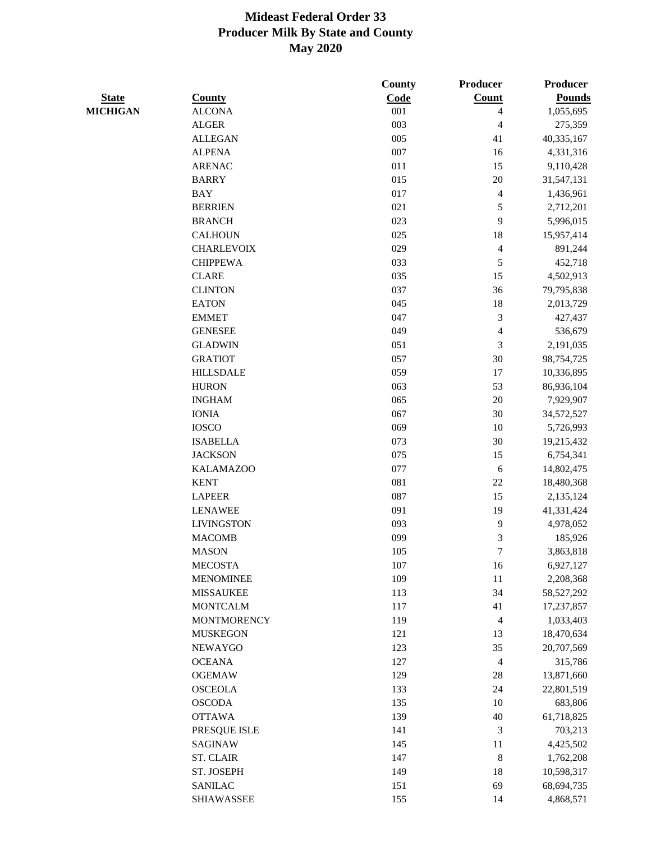|                 |                    | County  | Producer                 | Producer      |
|-----------------|--------------------|---------|--------------------------|---------------|
| <b>State</b>    | <b>County</b>      | Code    | <b>Count</b>             | <b>Pounds</b> |
| <b>MICHIGAN</b> | <b>ALCONA</b>      | 001     | 4                        | 1,055,695     |
|                 | <b>ALGER</b>       | 003     | $\overline{\mathcal{A}}$ | 275,359       |
|                 | <b>ALLEGAN</b>     | 005     | 41                       | 40,335,167    |
|                 | <b>ALPENA</b>      | 007     | 16                       | 4,331,316     |
|                 | <b>ARENAC</b>      | 011     | 15                       | 9,110,428     |
|                 | <b>BARRY</b>       | 015     | $20\,$                   | 31,547,131    |
|                 | <b>BAY</b>         | 017     | $\overline{\mathbf{4}}$  | 1,436,961     |
|                 | <b>BERRIEN</b>     | 021     | 5                        | 2,712,201     |
|                 | <b>BRANCH</b>      | 023     | 9                        | 5,996,015     |
|                 | <b>CALHOUN</b>     | 025     | 18                       | 15,957,414    |
|                 | <b>CHARLEVOIX</b>  | 029     | $\overline{\mathbf{4}}$  | 891,244       |
|                 | <b>CHIPPEWA</b>    | 033     | 5                        | 452,718       |
|                 | <b>CLARE</b>       | 035     | 15                       | 4,502,913     |
|                 | <b>CLINTON</b>     | 037     | 36                       | 79,795,838    |
|                 | <b>EATON</b>       | 045     | 18                       | 2,013,729     |
|                 | <b>EMMET</b>       | 047     | 3                        | 427,437       |
|                 | <b>GENESEE</b>     | 049     | $\overline{\mathcal{L}}$ | 536,679       |
|                 | <b>GLADWIN</b>     | 051     | 3                        | 2,191,035     |
|                 | <b>GRATIOT</b>     | 057     | 30                       | 98,754,725    |
|                 | <b>HILLSDALE</b>   | 059     | 17                       | 10,336,895    |
|                 | <b>HURON</b>       | 063     | 53                       | 86,936,104    |
|                 | <b>INGHAM</b>      | 065     | 20                       | 7,929,907     |
|                 | <b>IONIA</b>       | 067     | 30                       | 34,572,527    |
|                 | <b>IOSCO</b>       | 069     | 10                       | 5,726,993     |
|                 | <b>ISABELLA</b>    | 073     | 30                       | 19,215,432    |
|                 | <b>JACKSON</b>     | 075     | 15                       | 6,754,341     |
|                 | <b>KALAMAZOO</b>   | 077     | $\sqrt{6}$               | 14,802,475    |
|                 | <b>KENT</b>        | 081     | $22\,$                   | 18,480,368    |
|                 | <b>LAPEER</b>      | 087     | 15                       | 2,135,124     |
|                 | <b>LENAWEE</b>     | 091     | 19                       | 41,331,424    |
|                 | <b>LIVINGSTON</b>  | 093     | 9                        | 4,978,052     |
|                 | <b>MACOMB</b>      | 099     | 3                        | 185,926       |
|                 | <b>MASON</b>       | 105     | $\tau$                   | 3,863,818     |
|                 | <b>MECOSTA</b>     | $107\,$ | 16                       | 6,927,127     |
|                 | <b>MENOMINEE</b>   | 109     | 11                       | 2,208,368     |
|                 | <b>MISSAUKEE</b>   | 113     | 34                       | 58,527,292    |
|                 | <b>MONTCALM</b>    | 117     | 41                       | 17,237,857    |
|                 | <b>MONTMORENCY</b> | 119     | $\overline{4}$           | 1,033,403     |
|                 | <b>MUSKEGON</b>    | 121     | 13                       | 18,470,634    |
|                 | <b>NEWAYGO</b>     | 123     | 35                       | 20,707,569    |
|                 | <b>OCEANA</b>      | 127     | $\overline{4}$           | 315,786       |
|                 | <b>OGEMAW</b>      | 129     | $28\,$                   | 13,871,660    |
|                 | <b>OSCEOLA</b>     | 133     | 24                       |               |
|                 |                    |         |                          | 22,801,519    |
|                 | <b>OSCODA</b>      | 135     | 10                       | 683,806       |
|                 | <b>OTTAWA</b>      | 139     | $40\,$                   | 61,718,825    |
|                 | PRESQUE ISLE       | 141     | 3                        | 703,213       |
|                 | SAGINAW            | 145     | 11                       | 4,425,502     |
|                 | <b>ST. CLAIR</b>   | 147     | $\,8\,$                  | 1,762,208     |
|                 | ST. JOSEPH         | 149     | 18                       | 10,598,317    |
|                 | <b>SANILAC</b>     | 151     | 69                       | 68,694,735    |
|                 | <b>SHIAWASSEE</b>  | 155     | 14                       | 4,868,571     |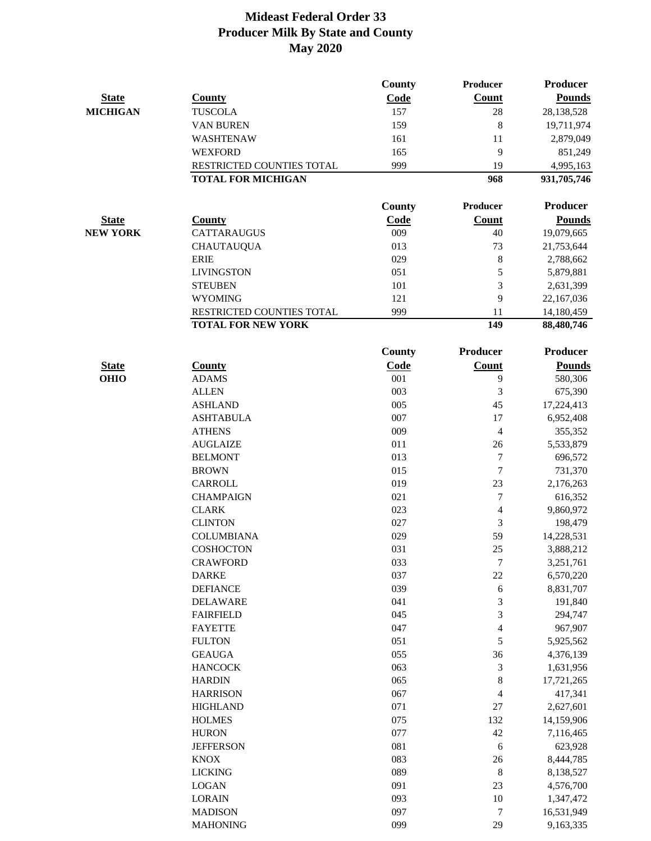| Count<br><b>Pounds</b><br><b>State</b><br><b>County</b><br>Code<br><b>MICHIGAN</b><br><b>TUSCOLA</b><br>157<br>28<br>28,138,528<br>159<br>8<br><b>VAN BUREN</b><br>19,711,974<br>161<br>WASHTENAW<br>11<br>2,879,049<br>165<br>9<br><b>WEXFORD</b><br>851,249<br>999<br>RESTRICTED COUNTIES TOTAL<br>19<br>4,995,163<br><b>TOTAL FOR MICHIGAN</b><br>968<br>931,705,746<br>Producer<br>Producer<br><b>County</b><br><b>Pounds</b><br><b>State</b><br><b>County</b><br>Code<br><b>Count</b><br><b>NEW YORK</b><br><b>CATTARAUGUS</b><br>009<br>19,079,665<br>40<br>013<br><b>CHAUTAUQUA</b><br>73<br>21,753,644<br><b>ERIE</b><br>029<br>$\,8\,$<br>2,788,662<br>5<br><b>LIVINGSTON</b><br>051<br>5,879,881<br>3<br>101<br><b>STEUBEN</b><br>2,631,399<br>9<br>121<br><b>WYOMING</b><br>22,167,036<br>999<br>RESTRICTED COUNTIES TOTAL<br>11<br>14,180,459<br><b>TOTAL FOR NEW YORK</b><br>149<br>88,480,746<br><b>Producer</b><br><b>Producer</b><br><b>County</b><br>Code<br>Count<br><b>Pounds</b><br><b>State</b><br><b>County</b><br><b>OHIO</b><br><b>ADAMS</b><br>001<br>9<br>580,306<br>003<br>3<br><b>ALLEN</b><br>675,390<br>005<br><b>ASHLAND</b><br>45<br>17,224,413<br>007<br>17<br><b>ASHTABULA</b><br>6,952,408<br>009<br>$\overline{\mathcal{L}}$<br><b>ATHENS</b><br>355,352<br>011<br><b>AUGLAIZE</b><br>26<br>5,533,879<br>013<br>7<br><b>BELMONT</b><br>696,572<br>$\tau$<br>015<br><b>BROWN</b><br>731,370<br>019<br>23<br><b>CARROLL</b><br>2,176,263<br>021<br>7<br><b>CHAMPAIGN</b><br>616,352<br>023<br><b>CLARK</b><br>4<br>9,860,972<br><b>CLINTON</b><br>027<br>3<br>198,479<br><b>COLUMBIANA</b><br>029<br>59<br>14,228,531<br>25<br>COSHOCTON<br>031<br>3,888,212<br>7<br><b>CRAWFORD</b><br>033<br>3,251,761<br>037<br><b>DARKE</b><br>22<br>6,570,220<br>039<br>6<br><b>DEFIANCE</b><br>8,831,707<br>3<br>041<br>191,840<br><b>DELAWARE</b><br>3<br>045<br>294,747<br><b>FAIRFIELD</b><br>047<br>$\overline{\mathbf{4}}$<br><b>FAYETTE</b><br>967,907<br>051<br>5<br><b>FULTON</b><br>5,925,562<br>055<br>36<br><b>GEAUGA</b><br>4,376,139<br>3<br><b>HANCOCK</b><br>063<br>1,631,956<br>$\,8\,$<br><b>HARDIN</b><br>065<br>17,721,265<br>067<br><b>HARRISON</b><br>4<br>417,341<br>071<br><b>HIGHLAND</b><br>27<br>2,627,601<br>075<br><b>HOLMES</b><br>132<br>14,159,906<br>077<br><b>HURON</b><br>42<br>7,116,465<br>081<br><b>JEFFERSON</b><br>6<br>623,928<br>083<br><b>KNOX</b><br>26<br>8,444,785<br>089<br><b>LICKING</b><br>$\,8\,$<br>8,138,527<br>091<br><b>LOGAN</b><br>23<br>4,576,700<br>10<br><b>LORAIN</b><br>093<br>1,347,472<br>097<br>7<br><b>MADISON</b><br>16,531,949<br>29<br>099<br><b>MAHONING</b><br>9,163,335 |  | <b>County</b> | Producer | <b>Producer</b> |
|------------------------------------------------------------------------------------------------------------------------------------------------------------------------------------------------------------------------------------------------------------------------------------------------------------------------------------------------------------------------------------------------------------------------------------------------------------------------------------------------------------------------------------------------------------------------------------------------------------------------------------------------------------------------------------------------------------------------------------------------------------------------------------------------------------------------------------------------------------------------------------------------------------------------------------------------------------------------------------------------------------------------------------------------------------------------------------------------------------------------------------------------------------------------------------------------------------------------------------------------------------------------------------------------------------------------------------------------------------------------------------------------------------------------------------------------------------------------------------------------------------------------------------------------------------------------------------------------------------------------------------------------------------------------------------------------------------------------------------------------------------------------------------------------------------------------------------------------------------------------------------------------------------------------------------------------------------------------------------------------------------------------------------------------------------------------------------------------------------------------------------------------------------------------------------------------------------------------------------------------------------------------------------------------------------------------------------------------------------------------------------------------------------------------------------------------------------------------------------------------------------------------------------------------------------------------------------------------------------------------------------------------------------------------|--|---------------|----------|-----------------|
|                                                                                                                                                                                                                                                                                                                                                                                                                                                                                                                                                                                                                                                                                                                                                                                                                                                                                                                                                                                                                                                                                                                                                                                                                                                                                                                                                                                                                                                                                                                                                                                                                                                                                                                                                                                                                                                                                                                                                                                                                                                                                                                                                                                                                                                                                                                                                                                                                                                                                                                                                                                                                                                                        |  |               |          |                 |
|                                                                                                                                                                                                                                                                                                                                                                                                                                                                                                                                                                                                                                                                                                                                                                                                                                                                                                                                                                                                                                                                                                                                                                                                                                                                                                                                                                                                                                                                                                                                                                                                                                                                                                                                                                                                                                                                                                                                                                                                                                                                                                                                                                                                                                                                                                                                                                                                                                                                                                                                                                                                                                                                        |  |               |          |                 |
|                                                                                                                                                                                                                                                                                                                                                                                                                                                                                                                                                                                                                                                                                                                                                                                                                                                                                                                                                                                                                                                                                                                                                                                                                                                                                                                                                                                                                                                                                                                                                                                                                                                                                                                                                                                                                                                                                                                                                                                                                                                                                                                                                                                                                                                                                                                                                                                                                                                                                                                                                                                                                                                                        |  |               |          |                 |
|                                                                                                                                                                                                                                                                                                                                                                                                                                                                                                                                                                                                                                                                                                                                                                                                                                                                                                                                                                                                                                                                                                                                                                                                                                                                                                                                                                                                                                                                                                                                                                                                                                                                                                                                                                                                                                                                                                                                                                                                                                                                                                                                                                                                                                                                                                                                                                                                                                                                                                                                                                                                                                                                        |  |               |          |                 |
|                                                                                                                                                                                                                                                                                                                                                                                                                                                                                                                                                                                                                                                                                                                                                                                                                                                                                                                                                                                                                                                                                                                                                                                                                                                                                                                                                                                                                                                                                                                                                                                                                                                                                                                                                                                                                                                                                                                                                                                                                                                                                                                                                                                                                                                                                                                                                                                                                                                                                                                                                                                                                                                                        |  |               |          |                 |
|                                                                                                                                                                                                                                                                                                                                                                                                                                                                                                                                                                                                                                                                                                                                                                                                                                                                                                                                                                                                                                                                                                                                                                                                                                                                                                                                                                                                                                                                                                                                                                                                                                                                                                                                                                                                                                                                                                                                                                                                                                                                                                                                                                                                                                                                                                                                                                                                                                                                                                                                                                                                                                                                        |  |               |          |                 |
|                                                                                                                                                                                                                                                                                                                                                                                                                                                                                                                                                                                                                                                                                                                                                                                                                                                                                                                                                                                                                                                                                                                                                                                                                                                                                                                                                                                                                                                                                                                                                                                                                                                                                                                                                                                                                                                                                                                                                                                                                                                                                                                                                                                                                                                                                                                                                                                                                                                                                                                                                                                                                                                                        |  |               |          |                 |
|                                                                                                                                                                                                                                                                                                                                                                                                                                                                                                                                                                                                                                                                                                                                                                                                                                                                                                                                                                                                                                                                                                                                                                                                                                                                                                                                                                                                                                                                                                                                                                                                                                                                                                                                                                                                                                                                                                                                                                                                                                                                                                                                                                                                                                                                                                                                                                                                                                                                                                                                                                                                                                                                        |  |               |          |                 |
|                                                                                                                                                                                                                                                                                                                                                                                                                                                                                                                                                                                                                                                                                                                                                                                                                                                                                                                                                                                                                                                                                                                                                                                                                                                                                                                                                                                                                                                                                                                                                                                                                                                                                                                                                                                                                                                                                                                                                                                                                                                                                                                                                                                                                                                                                                                                                                                                                                                                                                                                                                                                                                                                        |  |               |          |                 |
|                                                                                                                                                                                                                                                                                                                                                                                                                                                                                                                                                                                                                                                                                                                                                                                                                                                                                                                                                                                                                                                                                                                                                                                                                                                                                                                                                                                                                                                                                                                                                                                                                                                                                                                                                                                                                                                                                                                                                                                                                                                                                                                                                                                                                                                                                                                                                                                                                                                                                                                                                                                                                                                                        |  |               |          |                 |
|                                                                                                                                                                                                                                                                                                                                                                                                                                                                                                                                                                                                                                                                                                                                                                                                                                                                                                                                                                                                                                                                                                                                                                                                                                                                                                                                                                                                                                                                                                                                                                                                                                                                                                                                                                                                                                                                                                                                                                                                                                                                                                                                                                                                                                                                                                                                                                                                                                                                                                                                                                                                                                                                        |  |               |          |                 |
|                                                                                                                                                                                                                                                                                                                                                                                                                                                                                                                                                                                                                                                                                                                                                                                                                                                                                                                                                                                                                                                                                                                                                                                                                                                                                                                                                                                                                                                                                                                                                                                                                                                                                                                                                                                                                                                                                                                                                                                                                                                                                                                                                                                                                                                                                                                                                                                                                                                                                                                                                                                                                                                                        |  |               |          |                 |
|                                                                                                                                                                                                                                                                                                                                                                                                                                                                                                                                                                                                                                                                                                                                                                                                                                                                                                                                                                                                                                                                                                                                                                                                                                                                                                                                                                                                                                                                                                                                                                                                                                                                                                                                                                                                                                                                                                                                                                                                                                                                                                                                                                                                                                                                                                                                                                                                                                                                                                                                                                                                                                                                        |  |               |          |                 |
|                                                                                                                                                                                                                                                                                                                                                                                                                                                                                                                                                                                                                                                                                                                                                                                                                                                                                                                                                                                                                                                                                                                                                                                                                                                                                                                                                                                                                                                                                                                                                                                                                                                                                                                                                                                                                                                                                                                                                                                                                                                                                                                                                                                                                                                                                                                                                                                                                                                                                                                                                                                                                                                                        |  |               |          |                 |
|                                                                                                                                                                                                                                                                                                                                                                                                                                                                                                                                                                                                                                                                                                                                                                                                                                                                                                                                                                                                                                                                                                                                                                                                                                                                                                                                                                                                                                                                                                                                                                                                                                                                                                                                                                                                                                                                                                                                                                                                                                                                                                                                                                                                                                                                                                                                                                                                                                                                                                                                                                                                                                                                        |  |               |          |                 |
|                                                                                                                                                                                                                                                                                                                                                                                                                                                                                                                                                                                                                                                                                                                                                                                                                                                                                                                                                                                                                                                                                                                                                                                                                                                                                                                                                                                                                                                                                                                                                                                                                                                                                                                                                                                                                                                                                                                                                                                                                                                                                                                                                                                                                                                                                                                                                                                                                                                                                                                                                                                                                                                                        |  |               |          |                 |
|                                                                                                                                                                                                                                                                                                                                                                                                                                                                                                                                                                                                                                                                                                                                                                                                                                                                                                                                                                                                                                                                                                                                                                                                                                                                                                                                                                                                                                                                                                                                                                                                                                                                                                                                                                                                                                                                                                                                                                                                                                                                                                                                                                                                                                                                                                                                                                                                                                                                                                                                                                                                                                                                        |  |               |          |                 |
|                                                                                                                                                                                                                                                                                                                                                                                                                                                                                                                                                                                                                                                                                                                                                                                                                                                                                                                                                                                                                                                                                                                                                                                                                                                                                                                                                                                                                                                                                                                                                                                                                                                                                                                                                                                                                                                                                                                                                                                                                                                                                                                                                                                                                                                                                                                                                                                                                                                                                                                                                                                                                                                                        |  |               |          |                 |
|                                                                                                                                                                                                                                                                                                                                                                                                                                                                                                                                                                                                                                                                                                                                                                                                                                                                                                                                                                                                                                                                                                                                                                                                                                                                                                                                                                                                                                                                                                                                                                                                                                                                                                                                                                                                                                                                                                                                                                                                                                                                                                                                                                                                                                                                                                                                                                                                                                                                                                                                                                                                                                                                        |  |               |          |                 |
|                                                                                                                                                                                                                                                                                                                                                                                                                                                                                                                                                                                                                                                                                                                                                                                                                                                                                                                                                                                                                                                                                                                                                                                                                                                                                                                                                                                                                                                                                                                                                                                                                                                                                                                                                                                                                                                                                                                                                                                                                                                                                                                                                                                                                                                                                                                                                                                                                                                                                                                                                                                                                                                                        |  |               |          |                 |
|                                                                                                                                                                                                                                                                                                                                                                                                                                                                                                                                                                                                                                                                                                                                                                                                                                                                                                                                                                                                                                                                                                                                                                                                                                                                                                                                                                                                                                                                                                                                                                                                                                                                                                                                                                                                                                                                                                                                                                                                                                                                                                                                                                                                                                                                                                                                                                                                                                                                                                                                                                                                                                                                        |  |               |          |                 |
|                                                                                                                                                                                                                                                                                                                                                                                                                                                                                                                                                                                                                                                                                                                                                                                                                                                                                                                                                                                                                                                                                                                                                                                                                                                                                                                                                                                                                                                                                                                                                                                                                                                                                                                                                                                                                                                                                                                                                                                                                                                                                                                                                                                                                                                                                                                                                                                                                                                                                                                                                                                                                                                                        |  |               |          |                 |
|                                                                                                                                                                                                                                                                                                                                                                                                                                                                                                                                                                                                                                                                                                                                                                                                                                                                                                                                                                                                                                                                                                                                                                                                                                                                                                                                                                                                                                                                                                                                                                                                                                                                                                                                                                                                                                                                                                                                                                                                                                                                                                                                                                                                                                                                                                                                                                                                                                                                                                                                                                                                                                                                        |  |               |          |                 |
|                                                                                                                                                                                                                                                                                                                                                                                                                                                                                                                                                                                                                                                                                                                                                                                                                                                                                                                                                                                                                                                                                                                                                                                                                                                                                                                                                                                                                                                                                                                                                                                                                                                                                                                                                                                                                                                                                                                                                                                                                                                                                                                                                                                                                                                                                                                                                                                                                                                                                                                                                                                                                                                                        |  |               |          |                 |
|                                                                                                                                                                                                                                                                                                                                                                                                                                                                                                                                                                                                                                                                                                                                                                                                                                                                                                                                                                                                                                                                                                                                                                                                                                                                                                                                                                                                                                                                                                                                                                                                                                                                                                                                                                                                                                                                                                                                                                                                                                                                                                                                                                                                                                                                                                                                                                                                                                                                                                                                                                                                                                                                        |  |               |          |                 |
|                                                                                                                                                                                                                                                                                                                                                                                                                                                                                                                                                                                                                                                                                                                                                                                                                                                                                                                                                                                                                                                                                                                                                                                                                                                                                                                                                                                                                                                                                                                                                                                                                                                                                                                                                                                                                                                                                                                                                                                                                                                                                                                                                                                                                                                                                                                                                                                                                                                                                                                                                                                                                                                                        |  |               |          |                 |
|                                                                                                                                                                                                                                                                                                                                                                                                                                                                                                                                                                                                                                                                                                                                                                                                                                                                                                                                                                                                                                                                                                                                                                                                                                                                                                                                                                                                                                                                                                                                                                                                                                                                                                                                                                                                                                                                                                                                                                                                                                                                                                                                                                                                                                                                                                                                                                                                                                                                                                                                                                                                                                                                        |  |               |          |                 |
|                                                                                                                                                                                                                                                                                                                                                                                                                                                                                                                                                                                                                                                                                                                                                                                                                                                                                                                                                                                                                                                                                                                                                                                                                                                                                                                                                                                                                                                                                                                                                                                                                                                                                                                                                                                                                                                                                                                                                                                                                                                                                                                                                                                                                                                                                                                                                                                                                                                                                                                                                                                                                                                                        |  |               |          |                 |
|                                                                                                                                                                                                                                                                                                                                                                                                                                                                                                                                                                                                                                                                                                                                                                                                                                                                                                                                                                                                                                                                                                                                                                                                                                                                                                                                                                                                                                                                                                                                                                                                                                                                                                                                                                                                                                                                                                                                                                                                                                                                                                                                                                                                                                                                                                                                                                                                                                                                                                                                                                                                                                                                        |  |               |          |                 |
|                                                                                                                                                                                                                                                                                                                                                                                                                                                                                                                                                                                                                                                                                                                                                                                                                                                                                                                                                                                                                                                                                                                                                                                                                                                                                                                                                                                                                                                                                                                                                                                                                                                                                                                                                                                                                                                                                                                                                                                                                                                                                                                                                                                                                                                                                                                                                                                                                                                                                                                                                                                                                                                                        |  |               |          |                 |
|                                                                                                                                                                                                                                                                                                                                                                                                                                                                                                                                                                                                                                                                                                                                                                                                                                                                                                                                                                                                                                                                                                                                                                                                                                                                                                                                                                                                                                                                                                                                                                                                                                                                                                                                                                                                                                                                                                                                                                                                                                                                                                                                                                                                                                                                                                                                                                                                                                                                                                                                                                                                                                                                        |  |               |          |                 |
|                                                                                                                                                                                                                                                                                                                                                                                                                                                                                                                                                                                                                                                                                                                                                                                                                                                                                                                                                                                                                                                                                                                                                                                                                                                                                                                                                                                                                                                                                                                                                                                                                                                                                                                                                                                                                                                                                                                                                                                                                                                                                                                                                                                                                                                                                                                                                                                                                                                                                                                                                                                                                                                                        |  |               |          |                 |
|                                                                                                                                                                                                                                                                                                                                                                                                                                                                                                                                                                                                                                                                                                                                                                                                                                                                                                                                                                                                                                                                                                                                                                                                                                                                                                                                                                                                                                                                                                                                                                                                                                                                                                                                                                                                                                                                                                                                                                                                                                                                                                                                                                                                                                                                                                                                                                                                                                                                                                                                                                                                                                                                        |  |               |          |                 |
|                                                                                                                                                                                                                                                                                                                                                                                                                                                                                                                                                                                                                                                                                                                                                                                                                                                                                                                                                                                                                                                                                                                                                                                                                                                                                                                                                                                                                                                                                                                                                                                                                                                                                                                                                                                                                                                                                                                                                                                                                                                                                                                                                                                                                                                                                                                                                                                                                                                                                                                                                                                                                                                                        |  |               |          |                 |
|                                                                                                                                                                                                                                                                                                                                                                                                                                                                                                                                                                                                                                                                                                                                                                                                                                                                                                                                                                                                                                                                                                                                                                                                                                                                                                                                                                                                                                                                                                                                                                                                                                                                                                                                                                                                                                                                                                                                                                                                                                                                                                                                                                                                                                                                                                                                                                                                                                                                                                                                                                                                                                                                        |  |               |          |                 |
|                                                                                                                                                                                                                                                                                                                                                                                                                                                                                                                                                                                                                                                                                                                                                                                                                                                                                                                                                                                                                                                                                                                                                                                                                                                                                                                                                                                                                                                                                                                                                                                                                                                                                                                                                                                                                                                                                                                                                                                                                                                                                                                                                                                                                                                                                                                                                                                                                                                                                                                                                                                                                                                                        |  |               |          |                 |
|                                                                                                                                                                                                                                                                                                                                                                                                                                                                                                                                                                                                                                                                                                                                                                                                                                                                                                                                                                                                                                                                                                                                                                                                                                                                                                                                                                                                                                                                                                                                                                                                                                                                                                                                                                                                                                                                                                                                                                                                                                                                                                                                                                                                                                                                                                                                                                                                                                                                                                                                                                                                                                                                        |  |               |          |                 |
|                                                                                                                                                                                                                                                                                                                                                                                                                                                                                                                                                                                                                                                                                                                                                                                                                                                                                                                                                                                                                                                                                                                                                                                                                                                                                                                                                                                                                                                                                                                                                                                                                                                                                                                                                                                                                                                                                                                                                                                                                                                                                                                                                                                                                                                                                                                                                                                                                                                                                                                                                                                                                                                                        |  |               |          |                 |
|                                                                                                                                                                                                                                                                                                                                                                                                                                                                                                                                                                                                                                                                                                                                                                                                                                                                                                                                                                                                                                                                                                                                                                                                                                                                                                                                                                                                                                                                                                                                                                                                                                                                                                                                                                                                                                                                                                                                                                                                                                                                                                                                                                                                                                                                                                                                                                                                                                                                                                                                                                                                                                                                        |  |               |          |                 |
|                                                                                                                                                                                                                                                                                                                                                                                                                                                                                                                                                                                                                                                                                                                                                                                                                                                                                                                                                                                                                                                                                                                                                                                                                                                                                                                                                                                                                                                                                                                                                                                                                                                                                                                                                                                                                                                                                                                                                                                                                                                                                                                                                                                                                                                                                                                                                                                                                                                                                                                                                                                                                                                                        |  |               |          |                 |
|                                                                                                                                                                                                                                                                                                                                                                                                                                                                                                                                                                                                                                                                                                                                                                                                                                                                                                                                                                                                                                                                                                                                                                                                                                                                                                                                                                                                                                                                                                                                                                                                                                                                                                                                                                                                                                                                                                                                                                                                                                                                                                                                                                                                                                                                                                                                                                                                                                                                                                                                                                                                                                                                        |  |               |          |                 |
|                                                                                                                                                                                                                                                                                                                                                                                                                                                                                                                                                                                                                                                                                                                                                                                                                                                                                                                                                                                                                                                                                                                                                                                                                                                                                                                                                                                                                                                                                                                                                                                                                                                                                                                                                                                                                                                                                                                                                                                                                                                                                                                                                                                                                                                                                                                                                                                                                                                                                                                                                                                                                                                                        |  |               |          |                 |
|                                                                                                                                                                                                                                                                                                                                                                                                                                                                                                                                                                                                                                                                                                                                                                                                                                                                                                                                                                                                                                                                                                                                                                                                                                                                                                                                                                                                                                                                                                                                                                                                                                                                                                                                                                                                                                                                                                                                                                                                                                                                                                                                                                                                                                                                                                                                                                                                                                                                                                                                                                                                                                                                        |  |               |          |                 |
|                                                                                                                                                                                                                                                                                                                                                                                                                                                                                                                                                                                                                                                                                                                                                                                                                                                                                                                                                                                                                                                                                                                                                                                                                                                                                                                                                                                                                                                                                                                                                                                                                                                                                                                                                                                                                                                                                                                                                                                                                                                                                                                                                                                                                                                                                                                                                                                                                                                                                                                                                                                                                                                                        |  |               |          |                 |
|                                                                                                                                                                                                                                                                                                                                                                                                                                                                                                                                                                                                                                                                                                                                                                                                                                                                                                                                                                                                                                                                                                                                                                                                                                                                                                                                                                                                                                                                                                                                                                                                                                                                                                                                                                                                                                                                                                                                                                                                                                                                                                                                                                                                                                                                                                                                                                                                                                                                                                                                                                                                                                                                        |  |               |          |                 |
|                                                                                                                                                                                                                                                                                                                                                                                                                                                                                                                                                                                                                                                                                                                                                                                                                                                                                                                                                                                                                                                                                                                                                                                                                                                                                                                                                                                                                                                                                                                                                                                                                                                                                                                                                                                                                                                                                                                                                                                                                                                                                                                                                                                                                                                                                                                                                                                                                                                                                                                                                                                                                                                                        |  |               |          |                 |
|                                                                                                                                                                                                                                                                                                                                                                                                                                                                                                                                                                                                                                                                                                                                                                                                                                                                                                                                                                                                                                                                                                                                                                                                                                                                                                                                                                                                                                                                                                                                                                                                                                                                                                                                                                                                                                                                                                                                                                                                                                                                                                                                                                                                                                                                                                                                                                                                                                                                                                                                                                                                                                                                        |  |               |          |                 |
|                                                                                                                                                                                                                                                                                                                                                                                                                                                                                                                                                                                                                                                                                                                                                                                                                                                                                                                                                                                                                                                                                                                                                                                                                                                                                                                                                                                                                                                                                                                                                                                                                                                                                                                                                                                                                                                                                                                                                                                                                                                                                                                                                                                                                                                                                                                                                                                                                                                                                                                                                                                                                                                                        |  |               |          |                 |
|                                                                                                                                                                                                                                                                                                                                                                                                                                                                                                                                                                                                                                                                                                                                                                                                                                                                                                                                                                                                                                                                                                                                                                                                                                                                                                                                                                                                                                                                                                                                                                                                                                                                                                                                                                                                                                                                                                                                                                                                                                                                                                                                                                                                                                                                                                                                                                                                                                                                                                                                                                                                                                                                        |  |               |          |                 |
|                                                                                                                                                                                                                                                                                                                                                                                                                                                                                                                                                                                                                                                                                                                                                                                                                                                                                                                                                                                                                                                                                                                                                                                                                                                                                                                                                                                                                                                                                                                                                                                                                                                                                                                                                                                                                                                                                                                                                                                                                                                                                                                                                                                                                                                                                                                                                                                                                                                                                                                                                                                                                                                                        |  |               |          |                 |
|                                                                                                                                                                                                                                                                                                                                                                                                                                                                                                                                                                                                                                                                                                                                                                                                                                                                                                                                                                                                                                                                                                                                                                                                                                                                                                                                                                                                                                                                                                                                                                                                                                                                                                                                                                                                                                                                                                                                                                                                                                                                                                                                                                                                                                                                                                                                                                                                                                                                                                                                                                                                                                                                        |  |               |          |                 |
|                                                                                                                                                                                                                                                                                                                                                                                                                                                                                                                                                                                                                                                                                                                                                                                                                                                                                                                                                                                                                                                                                                                                                                                                                                                                                                                                                                                                                                                                                                                                                                                                                                                                                                                                                                                                                                                                                                                                                                                                                                                                                                                                                                                                                                                                                                                                                                                                                                                                                                                                                                                                                                                                        |  |               |          |                 |
|                                                                                                                                                                                                                                                                                                                                                                                                                                                                                                                                                                                                                                                                                                                                                                                                                                                                                                                                                                                                                                                                                                                                                                                                                                                                                                                                                                                                                                                                                                                                                                                                                                                                                                                                                                                                                                                                                                                                                                                                                                                                                                                                                                                                                                                                                                                                                                                                                                                                                                                                                                                                                                                                        |  |               |          |                 |
|                                                                                                                                                                                                                                                                                                                                                                                                                                                                                                                                                                                                                                                                                                                                                                                                                                                                                                                                                                                                                                                                                                                                                                                                                                                                                                                                                                                                                                                                                                                                                                                                                                                                                                                                                                                                                                                                                                                                                                                                                                                                                                                                                                                                                                                                                                                                                                                                                                                                                                                                                                                                                                                                        |  |               |          |                 |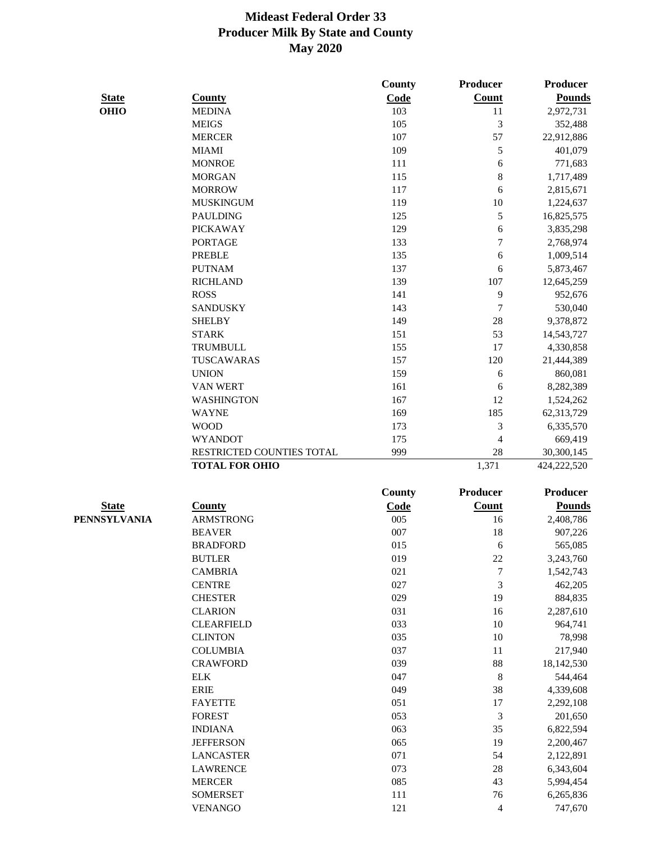|              |                           | County        | Producer                 | Producer      |
|--------------|---------------------------|---------------|--------------------------|---------------|
| <b>State</b> | <b>County</b>             | Code          | <b>Count</b>             | <b>Pounds</b> |
| <b>OHIO</b>  | <b>MEDINA</b>             | 103           | 11                       | 2,972,731     |
|              | <b>MEIGS</b>              | 105           | 3                        | 352,488       |
|              | <b>MERCER</b>             | 107           | 57                       | 22,912,886    |
|              | <b>MIAMI</b>              | 109           | 5                        | 401,079       |
|              | <b>MONROE</b>             | 111           | 6                        | 771,683       |
|              | <b>MORGAN</b>             | 115           | 8                        | 1,717,489     |
|              | <b>MORROW</b>             | 117           | 6                        | 2,815,671     |
|              | <b>MUSKINGUM</b>          | 119           | 10                       | 1,224,637     |
|              | <b>PAULDING</b>           | 125           | 5                        | 16,825,575    |
|              | <b>PICKAWAY</b>           | 129           | 6                        | 3,835,298     |
|              | <b>PORTAGE</b>            | 133           | $\overline{7}$           | 2,768,974     |
|              | <b>PREBLE</b>             | 135           | 6                        | 1,009,514     |
|              | <b>PUTNAM</b>             | 137           | 6                        | 5,873,467     |
|              | <b>RICHLAND</b>           | 139           | 107                      | 12,645,259    |
|              | <b>ROSS</b>               | 141           | 9                        | 952,676       |
|              | <b>SANDUSKY</b>           | 143           | 7                        | 530,040       |
|              | <b>SHELBY</b>             | 149           | 28                       | 9,378,872     |
|              | <b>STARK</b>              | 151           | 53                       | 14,543,727    |
|              | <b>TRUMBULL</b>           | 155           | 17                       | 4,330,858     |
|              | TUSCAWARAS                | 157           | 120                      | 21,444,389    |
|              | <b>UNION</b>              | 159           | 6                        | 860,081       |
|              | <b>VAN WERT</b>           | 161           | 6                        | 8,282,389     |
|              | <b>WASHINGTON</b>         | 167           | 12                       | 1,524,262     |
|              | <b>WAYNE</b>              | 169           | 185                      | 62,313,729    |
|              | <b>WOOD</b>               | 173           | 3                        | 6,335,570     |
|              | <b>WYANDOT</b>            | 175           | $\overline{\mathcal{L}}$ | 669,419       |
|              | RESTRICTED COUNTIES TOTAL | 999           | 28                       | 30,300,145    |
|              | <b>TOTAL FOR OHIO</b>     |               | 1,371                    | 424,222,520   |
|              |                           |               |                          |               |
|              |                           | <b>County</b> | <b>Producer</b>          | Producer      |
| <b>State</b> | <b>County</b>             | Code          | <b>Count</b>             | <b>Pounds</b> |
| PENNSYLVANIA | <b>ARMSTRONG</b>          | 005           | 16                       | 2,408,786     |
|              | <b>BEAVER</b>             | 007           | 18                       | 907,226       |
|              | <b>BRADFORD</b>           | 015           | 6                        | 565,085       |
|              | <b>BUTLER</b>             | 019           | 22                       | 3,243,760     |
|              | <b>CAMBRIA</b>            | 021           | $\boldsymbol{7}$         | 1,542,743     |
|              | <b>CENTRE</b>             | 027           | $\mathfrak{Z}$           | 462,205       |
|              | <b>CHESTER</b>            | 029           | 19                       | 884,835       |
|              | <b>CLARION</b>            | 031           | 16                       | 2,287,610     |
|              | <b>CLEARFIELD</b>         | 033           | 10                       | 964,741       |
|              | <b>CLINTON</b>            | 035           | 10                       | 78,998        |
|              | <b>COLUMBIA</b>           | 037           | 11                       | 217,940       |
|              | <b>CRAWFORD</b>           | 039           | 88                       | 18,142,530    |
|              | <b>ELK</b>                | 047           | $\,8\,$                  | 544,464       |
|              | <b>ERIE</b>               | 049           | 38                       | 4,339,608     |
|              | <b>FAYETTE</b>            | 051           | 17                       | 2,292,108     |
|              | <b>FOREST</b>             | 053           | 3                        | 201,650       |
|              | <b>INDIANA</b>            | 063           | 35                       | 6,822,594     |
|              | <b>JEFFERSON</b>          | 065           | 19                       | 2,200,467     |
|              | <b>LANCASTER</b>          | 071           | 54                       | 2,122,891     |
|              | <b>LAWRENCE</b>           | 073           | 28                       | 6,343,604     |
|              | <b>MERCER</b>             | 085           | 43                       | 5,994,454     |
|              | <b>SOMERSET</b>           | 111           | 76                       | 6,265,836     |
|              | <b>VENANGO</b>            | 121           | $\overline{4}$           | 747,670       |